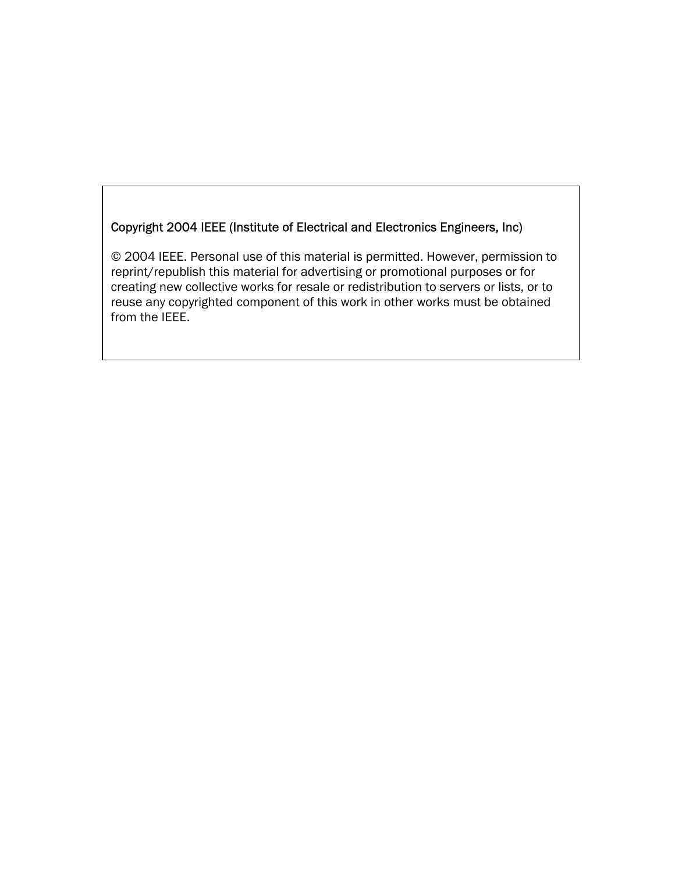# Copyright 2004 IEEE (Institute of Electrical and Electronics Engineers, Inc)

© 2004 IEEE. Personal use of this material is permitted. However, permission to reprint/republish this material for advertising or promotional purposes or for creating new collective works for resale or redistribution to servers or lists, or to reuse any copyrighted component of this work in other works must be obtained from the IEEE.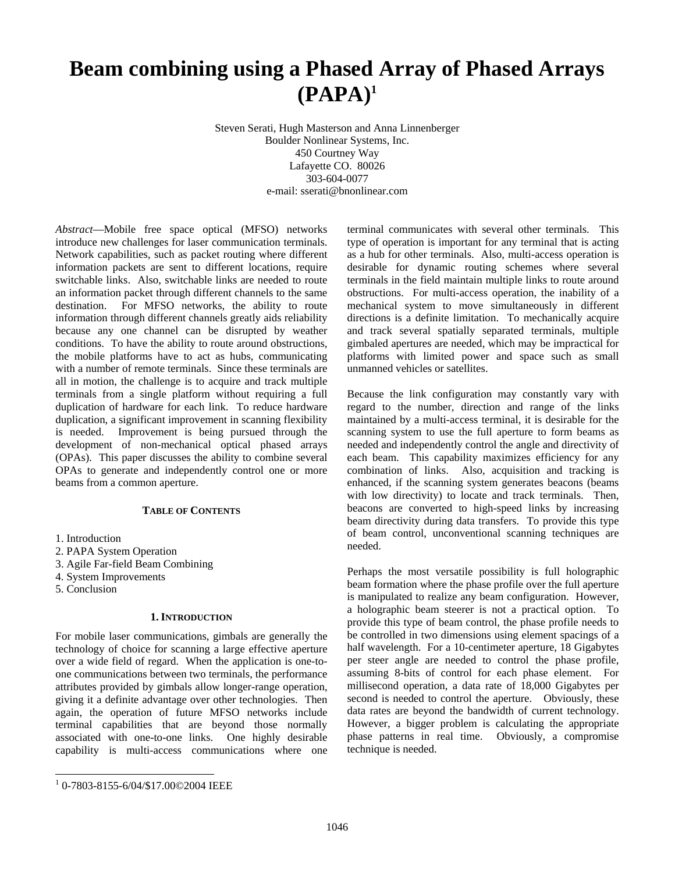# **Beam combining using a Phased Array of Phased Arrays (PAPA)[1](#page-1-0)**

Steven Serati, Hugh Masterson and Anna Linnenberger Boulder Nonlinear Systems, Inc. 450 Courtney Way Lafayette CO. 80026 303-604-0077 e-mail: sserati@bnonlinear.com

*Abstract*—Mobile free space optical (MFSO) networks introduce new challenges for laser communication terminals. Network capabilities, such as packet routing where different information packets are sent to different locations, require switchable links. Also, switchable links are needed to route an information packet through different channels to the same destination. For MFSO networks, the ability to route information through different channels greatly aids reliability because any one channel can be disrupted by weather conditions. To have the ability to route around obstructions, the mobile platforms have to act as hubs, communicating with a number of remote terminals. Since these terminals are all in motion, the challenge is to acquire and track multiple terminals from a single platform without requiring a full duplication of hardware for each link. To reduce hardware duplication, a significant improvement in scanning flexibility is needed. Improvement is being pursued through the development of non-mechanical optical phased arrays (OPAs). This paper discusses the ability to combine several OPAs to generate and independently control one or more beams from a common aperture.

# **TABLE OF CONTENTS**

- 1. Introduction
- 2. PAPA System Operation
- 3. Agile Far-field Beam Combining
- 4. System Improvements
- 5. Conclusion

l

# **1. INTRODUCTION**

For mobile laser communications, gimbals are generally the technology of choice for scanning a large effective aperture over a wide field of regard. When the application is one-toone communications between two terminals, the performance attributes provided by gimbals allow longer-range operation, giving it a definite advantage over other technologies. Then again, the operation of future MFSO networks include terminal capabilities that are beyond those normally associated with one-to-one links. One highly desirable capability is multi-access communications where one terminal communicates with several other terminals. This type of operation is important for any terminal that is acting as a hub for other terminals. Also, multi-access operation is desirable for dynamic routing schemes where several terminals in the field maintain multiple links to route around obstructions. For multi-access operation, the inability of a mechanical system to move simultaneously in different directions is a definite limitation. To mechanically acquire and track several spatially separated terminals, multiple gimbaled apertures are needed, which may be impractical for platforms with limited power and space such as small unmanned vehicles or satellites.

Because the link configuration may constantly vary with regard to the number, direction and range of the links maintained by a multi-access terminal, it is desirable for the scanning system to use the full aperture to form beams as needed and independently control the angle and directivity of each beam. This capability maximizes efficiency for any combination of links. Also, acquisition and tracking is enhanced, if the scanning system generates beacons (beams with low directivity) to locate and track terminals. Then, beacons are converted to high-speed links by increasing beam directivity during data transfers. To provide this type of beam control, unconventional scanning techniques are needed.

Perhaps the most versatile possibility is full holographic beam formation where the phase profile over the full aperture is manipulated to realize any beam configuration. However, a holographic beam steerer is not a practical option. To provide this type of beam control, the phase profile needs to be controlled in two dimensions using element spacings of a half wavelength. For a 10-centimeter aperture, 18 Gigabytes per steer angle are needed to control the phase profile, assuming 8-bits of control for each phase element. For millisecond operation, a data rate of 18,000 Gigabytes per second is needed to control the aperture. Obviously, these data rates are beyond the bandwidth of current technology. However, a bigger problem is calculating the appropriate phase patterns in real time. Obviously, a compromise technique is needed.

<span id="page-1-0"></span><sup>1</sup> 0-7803-8155-6/04/\$17.00©2004 IEEE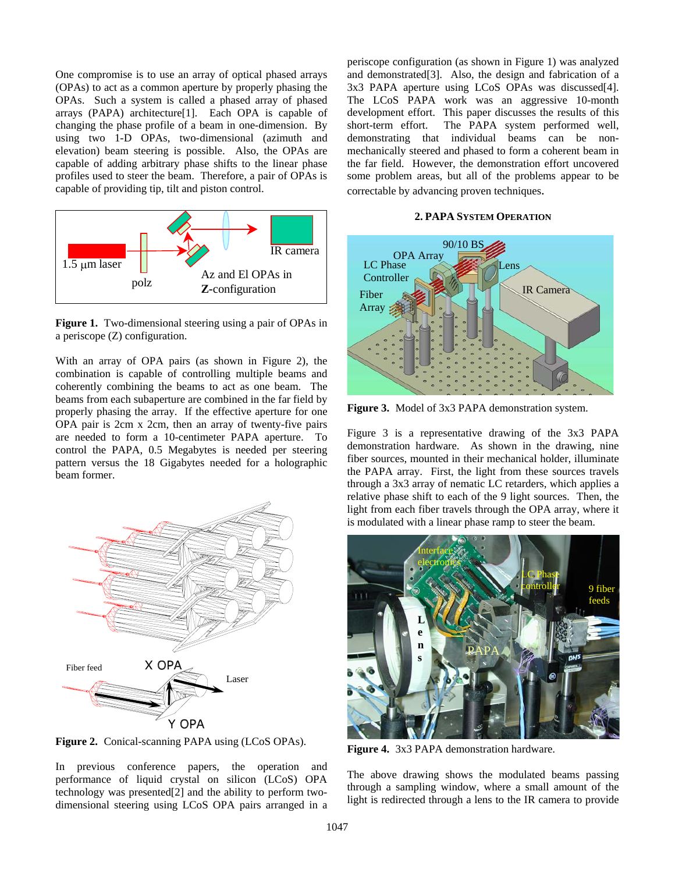One compromise is to use an array of optical phased arrays (OPAs) to act as a common aperture by properly phasing the OPAs. Such a system is called a phased array of phased arrays (PAPA) architecture[1]. Each OPA is capable of changing the phase profile of a beam in one-dimension. By using two 1-D OPAs, two-dimensional (azimuth and elevation) beam steering is possible. Also, the OPAs are capable of adding arbitrary phase shifts to the linear phase profiles used to steer the beam. Therefore, a pair of OPAs is capable of providing tip, tilt and piston control.



**Figure 1.** Two-dimensional steering using a pair of OPAs in a periscope (Z) configuration.

With an array of OPA pairs (as shown in Figure 2), the combination is capable of controlling multiple beams and coherently combining the beams to act as one beam. The beams from each subaperture are combined in the far field by properly phasing the array. If the effective aperture for one OPA pair is 2cm x 2cm, then an array of twenty-five pairs are needed to form a 10-centimeter PAPA aperture. To control the PAPA, 0.5 Megabytes is needed per steering pattern versus the 18 Gigabytes needed for a holographic beam former.



**Figure 2.** Conical-scanning PAPA using (LCoS OPAs).

In previous conference papers, the operation and performance of liquid crystal on silicon (LCoS) OPA technology was presented[2] and the ability to perform twodimensional steering using LCoS OPA pairs arranged in a

periscope configuration (as shown in Figure 1) was analyzed and demonstrated[3]. Also, the design and fabrication of a 3x3 PAPA aperture using LCoS OPAs was discussed[4]. The LCoS PAPA work was an aggressive 10-month development effort. This paper discusses the results of this short-term effort. The PAPA system performed well, demonstrating that individual beams can be nonmechanically steered and phased to form a coherent beam in the far field. However, the demonstration effort uncovered some problem areas, but all of the problems appear to be correctable by advancing proven techniques.

#### **2. PAPA SYSTEM OPERATION**



**Figure 3.** Model of 3x3 PAPA demonstration system.

Figure 3 is a representative drawing of the 3x3 PAPA demonstration hardware. As shown in the drawing, nine fiber sources, mounted in their mechanical holder, illuminate the PAPA array. First, the light from these sources travels through a 3x3 array of nematic LC retarders, which applies a relative phase shift to each of the 9 light sources. Then, the light from each fiber travels through the OPA array, where it is modulated with a linear phase ramp to steer the beam.



**Figure 4.** 3x3 PAPA demonstration hardware.

The above drawing shows the modulated beams passing through a sampling window, where a small amount of the light is redirected through a lens to the IR camera to provide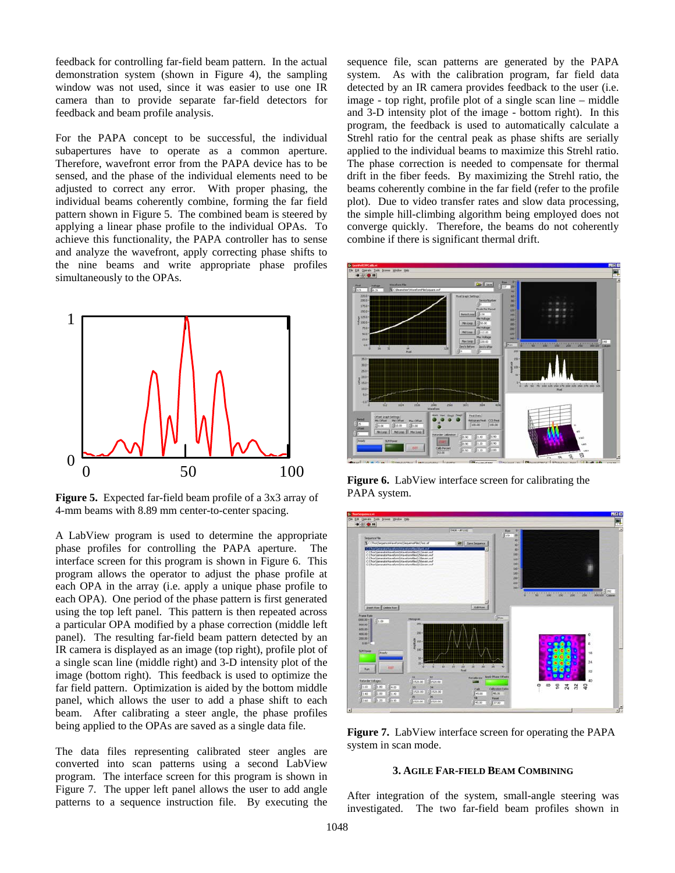feedback for controlling far-field beam pattern. In the actual demonstration system (shown in Figure 4), the sampling window was not used, since it was easier to use one IR camera than to provide separate far-field detectors for feedback and beam profile analysis.

For the PAPA concept to be successful, the individual subapertures have to operate as a common aperture. Therefore, wavefront error from the PAPA device has to be sensed, and the phase of the individual elements need to be adjusted to correct any error. With proper phasing, the individual beams coherently combine, forming the far field pattern shown in Figure 5. The combined beam is steered by applying a linear phase profile to the individual OPAs. To achieve this functionality, the PAPA controller has to sense and analyze the wavefront, apply correcting phase shifts to the nine beams and write appropriate phase profiles simultaneously to the OPAs.



**Figure 5.** Expected far-field beam profile of a 3x3 array of 4-mm beams with 8.89 mm center-to-center spacing.

A LabView program is used to determine the appropriate phase profiles for controlling the PAPA aperture. The interface screen for this program is shown in Figure 6. This program allows the operator to adjust the phase profile at each OPA in the array (i.e. apply a unique phase profile to each OPA). One period of the phase pattern is first generated using the top left panel. This pattern is then repeated across a particular OPA modified by a phase correction (middle left panel). The resulting far-field beam pattern detected by an IR camera is displayed as an image (top right), profile plot of a single scan line (middle right) and 3-D intensity plot of the image (bottom right). This feedback is used to optimize the far field pattern. Optimization is aided by the bottom middle panel, which allows the user to add a phase shift to each beam. After calibrating a steer angle, the phase profiles being applied to the OPAs are saved as a single data file.

The data files representing calibrated steer angles are converted into scan patterns using a second LabView program. The interface screen for this program is shown in Figure 7. The upper left panel allows the user to add angle patterns to a sequence instruction file. By executing the

sequence file, scan patterns are generated by the PAPA system. As with the calibration program, far field data detected by an IR camera provides feedback to the user (i.e. image - top right, profile plot of a single scan line – middle and 3-D intensity plot of the image - bottom right). In this program, the feedback is used to automatically calculate a Strehl ratio for the central peak as phase shifts are serially applied to the individual beams to maximize this Strehl ratio. The phase correction is needed to compensate for thermal drift in the fiber feeds. By maximizing the Strehl ratio, the beams coherently combine in the far field (refer to the profile plot). Due to video transfer rates and slow data processing, the simple hill-climbing algorithm being employed does not converge quickly. Therefore, the beams do not coherently combine if there is significant thermal drift.



**Figure 6.** LabView interface screen for calibrating the PAPA system.



**Figure 7.** LabView interface screen for operating the PAPA system in scan mode.

# **3. AGILE FAR-FIELD BEAM COMBINING**

After integration of the system, small-angle steering was investigated. The two far-field beam profiles shown in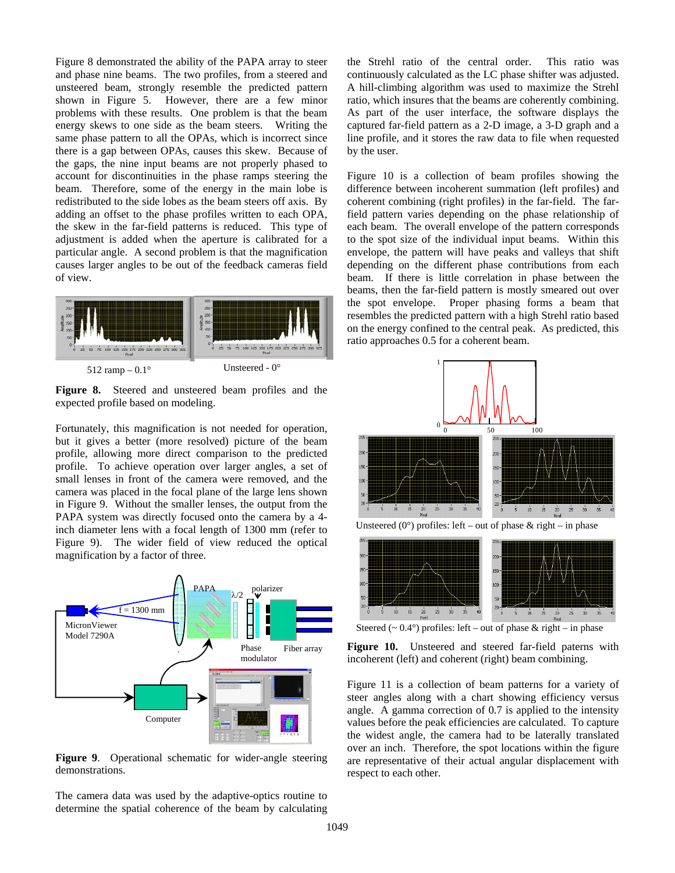Figure 8 demonstrated the ability of the PAPA array to steer and phase nine beams. The two profiles, from a steered and unsteered beam, strongly resemble the predicted pattern shown in Figure 5. However, there are a few minor problems with these results. One problem is that the beam energy skews to one side as the beam steers. Writing the same phase pattern to all the OPAs, which is incorrect since there is a gap between OPAs, causes this skew. Because of the gaps, the nine input beams are not properly phased to account for discontinuities in the phase ramps steering the beam. Therefore, some of the energy in the main lobe is redistributed to the side lobes as the beam steers off axis. By adding an offset to the phase profiles written to each OPA, the skew in the far-field patterns is reduced. This type of adjustment is added when the aperture is calibrated for a particular angle. A second problem is that the magnification causes larger angles to be out of the feedback cameras field of view.



**Figure 8.** Steered and unsteered beam profiles and the expected profile based on modeling.

Fortunately, this magnification is not needed for operation, but it gives a better (more resolved) picture of the beam profile, allowing more direct comparison to the predicted profile. To achieve operation over larger angles, a set of small lenses in front of the camera were removed, and the camera was placed in the focal plane of the large lens shown in Figure 9. Without the smaller lenses, the output from the PAPA system was directly focused onto the camera by a 4 inch diameter lens with a focal length of 1300 mm (refer to Figure 9). The wider field of view reduced the optical magnification by a factor of three.



**Figure 9**. Operational schematic for wider-angle steering demonstrations.

The camera data was used by the adaptive-optics routine to determine the spatial coherence of the beam by calculating

the Strehl ratio of the central order. This ratio was continuously calculated as the LC phase shifter was adjusted. A hill-climbing algorithm was used to maximize the Strehl ratio, which insures that the beams are coherently combining. As part of the user interface, the software displays the captured far-field pattern as a 2-D image, a 3-D graph and a line profile, and it stores the raw data to file when requested by the user.

Figure 10 is a collection of beam profiles showing the difference between incoherent summation (left profiles) and coherent combining (right profiles) in the far-field. The farfield pattern varies depending on the phase relationship of each beam. The overall envelope of the pattern corresponds to the spot size of the individual input beams. Within this envelope, the pattern will have peaks and valleys that shift depending on the different phase contributions from each beam. If there is little correlation in phase between the beams, then the far-field pattern is mostly smeared out over the spot envelope. Proper phasing forms a beam that resembles the predicted pattern with a high Strehl ratio based on the energy confined to the central peak. As predicted, this ratio approaches 0.5 for a coherent beam.



Steered ( $\sim 0.4^{\circ}$ ) profiles: left – out of phase & right – in phase

Figure 10. Unsteered and steered far-field paterns with incoherent (left) and coherent (right) beam combining.

Figure 11 is a collection of beam patterns for a variety of steer angles along with a chart showing efficiency versus angle. A gamma correction of 0.7 is applied to the intensity values before the peak efficiencies are calculated. To capture the widest angle, the camera had to be laterally translated over an inch. Therefore, the spot locations within the figure are representative of their actual angular displacement with respect to each other.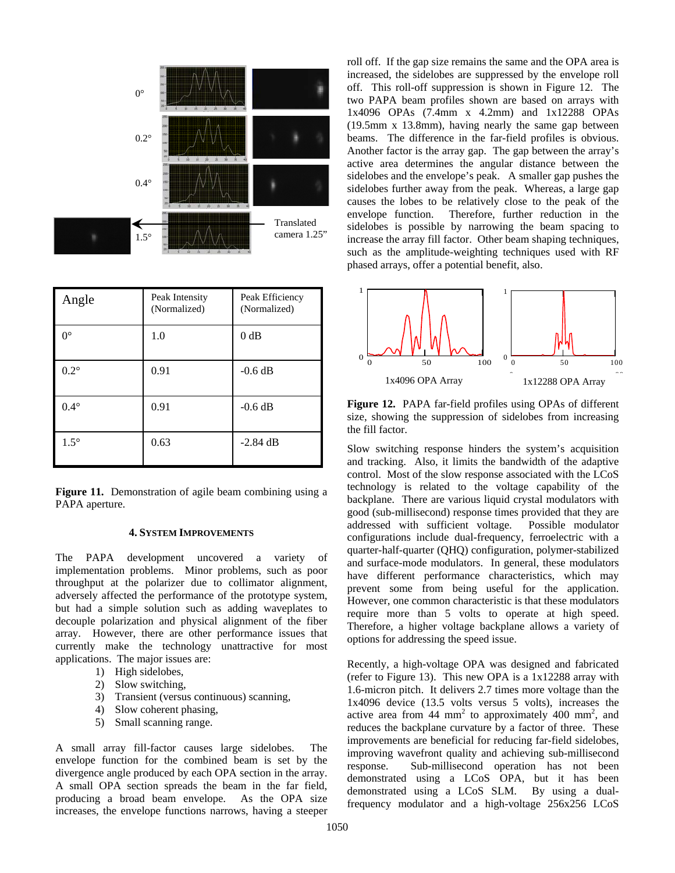

| Angle         | Peak Intensity<br>(Normalized) | Peak Efficiency<br>(Normalized) |
|---------------|--------------------------------|---------------------------------|
| $0^{\circ}$   | 1.0                            | $0$ dB                          |
| $0.2^{\circ}$ | 0.91                           | $-0.6$ dB                       |
| $0.4^\circ$   | 0.91                           | $-0.6$ dB                       |
| $1.5^\circ$   | 0.63                           | $-2.84$ dB                      |

**Figure 11.** Demonstration of agile beam combining using a PAPA aperture.

#### **4. SYSTEM IMPROVEMENTS**

The PAPA development uncovered a variety of implementation problems. Minor problems, such as poor throughput at the polarizer due to collimator alignment, adversely affected the performance of the prototype system, but had a simple solution such as adding waveplates to decouple polarization and physical alignment of the fiber array. However, there are other performance issues that currently make the technology unattractive for most applications. The major issues are:

- 1) High sidelobes,
- 2) Slow switching,
- 3) Transient (versus continuous) scanning,
- 4) Slow coherent phasing,
- 5) Small scanning range.

A small array fill-factor causes large sidelobes. The envelope function for the combined beam is set by the divergence angle produced by each OPA section in the array. A small OPA section spreads the beam in the far field, producing a broad beam envelope. As the OPA size increases, the envelope functions narrows, having a steeper

roll off. If the gap size remains the same and the OPA area is increased, the sidelobes are suppressed by the envelope roll off. This roll-off suppression is shown in Figure 12. The two PAPA beam profiles shown are based on arrays with 1x4096 OPAs (7.4mm x 4.2mm) and 1x12288 OPAs (19.5mm x 13.8mm), having nearly the same gap between beams. The difference in the far-field profiles is obvious. Another factor is the array gap. The gap between the array's active area determines the angular distance between the sidelobes and the envelope's peak. A smaller gap pushes the sidelobes further away from the peak. Whereas, a large gap causes the lobes to be relatively close to the peak of the envelope function. Therefore, further reduction in the sidelobes is possible by narrowing the beam spacing to increase the array fill factor. Other beam shaping techniques, such as the amplitude-weighting techniques used with RF phased arrays, offer a potential benefit, also.



**Figure 12.** PAPA far-field profiles using OPAs of different size, showing the suppression of sidelobes from increasing the fill factor.

Slow switching response hinders the system's acquisition and tracking. Also, it limits the bandwidth of the adaptive control. Most of the slow response associated with the LCoS technology is related to the voltage capability of the backplane. There are various liquid crystal modulators with good (sub-millisecond) response times provided that they are addressed with sufficient voltage. Possible modulator configurations include dual-frequency, ferroelectric with a quarter-half-quarter (QHQ) configuration, polymer-stabilized and surface-mode modulators. In general, these modulators have different performance characteristics, which may prevent some from being useful for the application. However, one common characteristic is that these modulators require more than 5 volts to operate at high speed. Therefore, a higher voltage backplane allows a variety of options for addressing the speed issue.

Recently, a high-voltage OPA was designed and fabricated (refer to Figure 13). This new OPA is a 1x12288 array with 1.6-micron pitch. It delivers 2.7 times more voltage than the 1x4096 device (13.5 volts versus 5 volts), increases the active area from  $44 \text{ mm}^2$  to approximately  $400 \text{ mm}^2$ , and reduces the backplane curvature by a factor of three. These improvements are beneficial for reducing far-field sidelobes, improving wavefront quality and achieving sub-millisecond response. Sub-millisecond operation has not been demonstrated using a LCoS OPA, but it has been demonstrated using a LCoS SLM. By using a dualfrequency modulator and a high-voltage 256x256 LCoS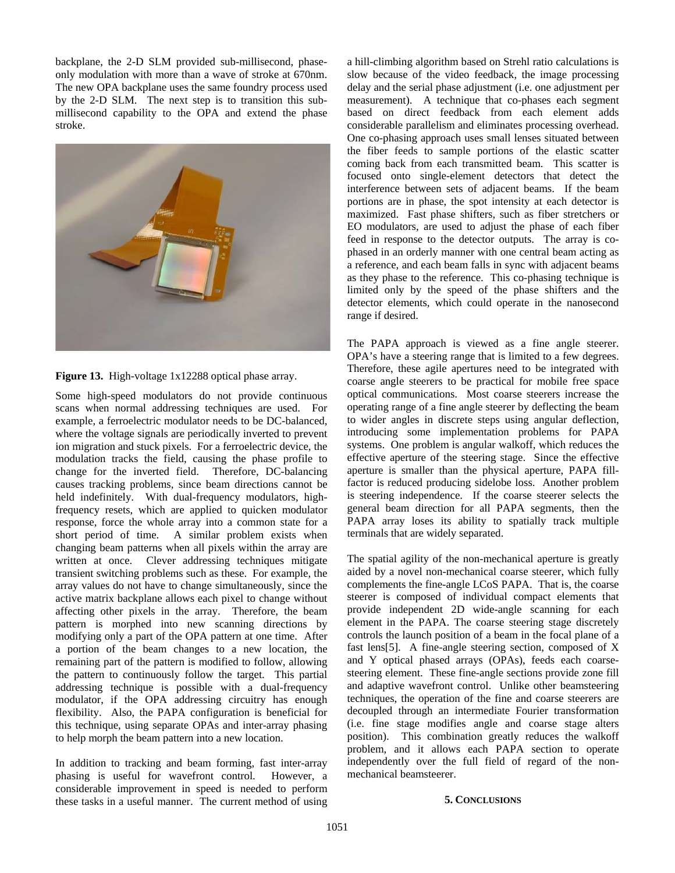backplane, the 2-D SLM provided sub-millisecond, phaseonly modulation with more than a wave of stroke at 670nm. The new OPA backplane uses the same foundry process used by the 2-D SLM. The next step is to transition this submillisecond capability to the OPA and extend the phase stroke.



**Figure 13.** High-voltage 1x12288 optical phase array.

Some high-speed modulators do not provide continuous scans when normal addressing techniques are used. For example, a ferroelectric modulator needs to be DC-balanced, where the voltage signals are periodically inverted to prevent ion migration and stuck pixels. For a ferroelectric device, the modulation tracks the field, causing the phase profile to change for the inverted field. Therefore, DC-balancing causes tracking problems, since beam directions cannot be held indefinitely. With dual-frequency modulators, highfrequency resets, which are applied to quicken modulator response, force the whole array into a common state for a short period of time. A similar problem exists when changing beam patterns when all pixels within the array are written at once. Clever addressing techniques mitigate transient switching problems such as these. For example, the array values do not have to change simultaneously, since the active matrix backplane allows each pixel to change without affecting other pixels in the array. Therefore, the beam pattern is morphed into new scanning directions by modifying only a part of the OPA pattern at one time. After a portion of the beam changes to a new location, the remaining part of the pattern is modified to follow, allowing the pattern to continuously follow the target. This partial addressing technique is possible with a dual-frequency modulator, if the OPA addressing circuitry has enough flexibility. Also, the PAPA configuration is beneficial for this technique, using separate OPAs and inter-array phasing to help morph the beam pattern into a new location.

In addition to tracking and beam forming, fast inter-array phasing is useful for wavefront control. However, a considerable improvement in speed is needed to perform these tasks in a useful manner. The current method of using a hill-climbing algorithm based on Strehl ratio calculations is slow because of the video feedback, the image processing delay and the serial phase adjustment (i.e. one adjustment per measurement). A technique that co-phases each segment based on direct feedback from each element adds considerable parallelism and eliminates processing overhead. One co-phasing approach uses small lenses situated between the fiber feeds to sample portions of the elastic scatter coming back from each transmitted beam. This scatter is focused onto single-element detectors that detect the interference between sets of adjacent beams. If the beam portions are in phase, the spot intensity at each detector is maximized. Fast phase shifters, such as fiber stretchers or EO modulators, are used to adjust the phase of each fiber feed in response to the detector outputs. The array is cophased in an orderly manner with one central beam acting as a reference, and each beam falls in sync with adjacent beams as they phase to the reference. This co-phasing technique is limited only by the speed of the phase shifters and the detector elements, which could operate in the nanosecond range if desired.

The PAPA approach is viewed as a fine angle steerer. OPA's have a steering range that is limited to a few degrees. Therefore, these agile apertures need to be integrated with coarse angle steerers to be practical for mobile free space optical communications. Most coarse steerers increase the operating range of a fine angle steerer by deflecting the beam to wider angles in discrete steps using angular deflection, introducing some implementation problems for PAPA systems. One problem is angular walkoff, which reduces the effective aperture of the steering stage. Since the effective aperture is smaller than the physical aperture, PAPA fillfactor is reduced producing sidelobe loss. Another problem is steering independence. If the coarse steerer selects the general beam direction for all PAPA segments, then the PAPA array loses its ability to spatially track multiple terminals that are widely separated.

The spatial agility of the non-mechanical aperture is greatly aided by a novel non-mechanical coarse steerer, which fully complements the fine-angle LCoS PAPA. That is, the coarse steerer is composed of individual compact elements that provide independent 2D wide-angle scanning for each element in the PAPA. The coarse steering stage discretely controls the launch position of a beam in the focal plane of a fast lens[5]. A fine-angle steering section, composed of X and Y optical phased arrays (OPAs), feeds each coarsesteering element. These fine-angle sections provide zone fill and adaptive wavefront control. Unlike other beamsteering techniques, the operation of the fine and coarse steerers are decoupled through an intermediate Fourier transformation (i.e. fine stage modifies angle and coarse stage alters position). This combination greatly reduces the walkoff problem, and it allows each PAPA section to operate independently over the full field of regard of the nonmechanical beamsteerer.

# **5. CONCLUSIONS**